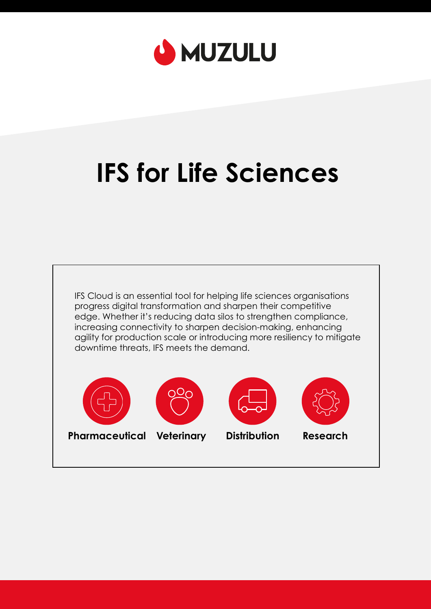

# **IFS for Life Sciences**











**Pharmaceutical Veterinary Distribution Research**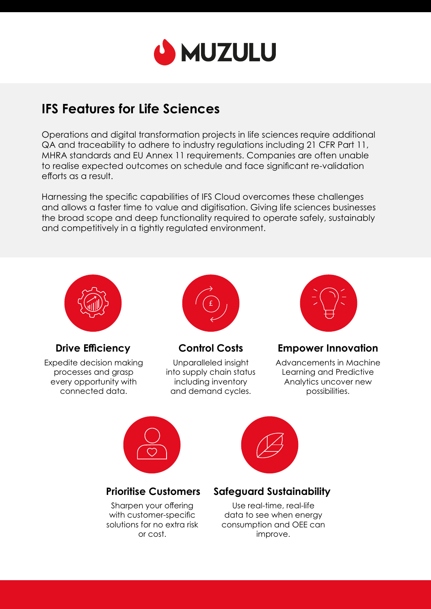

# **IFS Features for Life Sciences**

Operations and digital transformation projects in life sciences require additional QA and traceability to adhere to industry regulations including 21 CFR Part 11, MHRA standards and EU Annex 11 requirements. Companies are often unable to realise expected outcomes on schedule and face significant re-validation efforts as a result.

Harnessing the specific capabilities of IFS Cloud overcomes these challenges and allows a faster time to value and digitisation. Giving life sciences businesses the broad scope and deep functionality required to operate safely, sustainably and competitively in a tightly regulated environment.



**Drive Efficiency** 

Expedite decision making processes and grasp every opportunity with connected data.



**Control Costs** 

Unparalleled insight into supply chain status including inventory and demand cycles.



**Empower Innovation** 

Advancements in Machine Learning and Predictive Analytics uncover new possibilities.





#### **Prioritise Customers**

Sharpen your offering with customer-specific solutions for no extra risk or cost.

#### **Safeguard Sustainability**

Use real-time, real-life data to see when energy consumption and OEE can improve.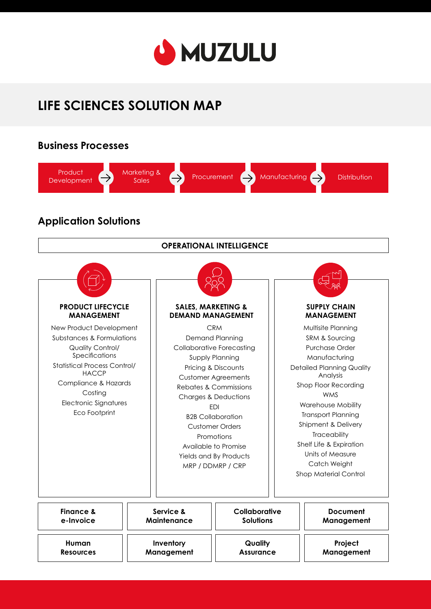

# **LIFE SCIENCES SOLUTION MAP**

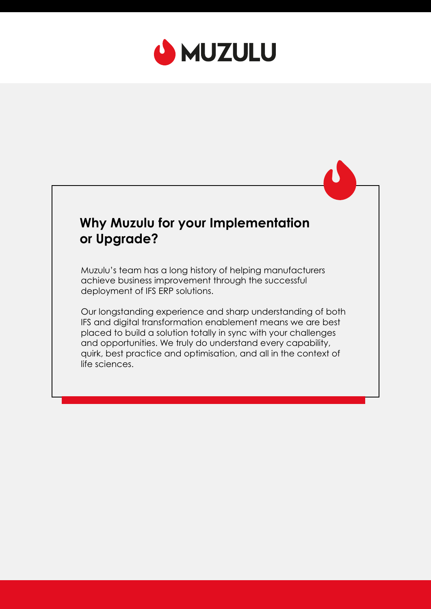

# **Why Muzulu for your Implementation or Upgrade?**

Muzulu's team has a long history of helping manufacturers achieve business improvement through the successful deployment of IFS ERP solutions.

Our longstanding experience and sharp understanding of both IFS and digital transformation enablement means we are best placed to build a solution totally in sync with your challenges and opportunities. We truly do understand every capability, quirk, best practice and optimisation, and all in the context of life sciences.